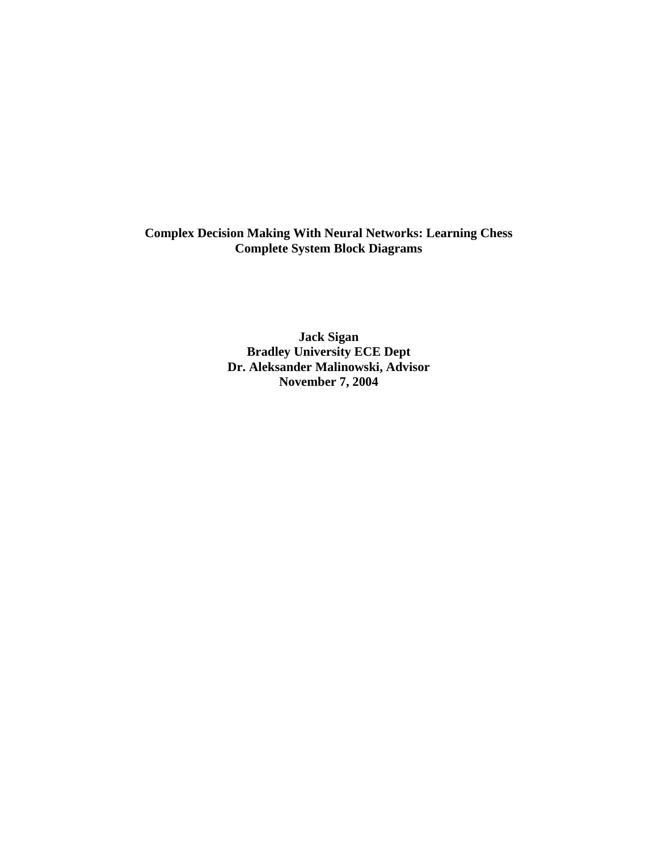**Complex Decision Making With Neural Networks: Learning Chess Complete System Block Diagrams** 

> **Jack Sigan Bradley University ECE Dept Dr. Aleksander Malinowski, Advisor November 7, 2004**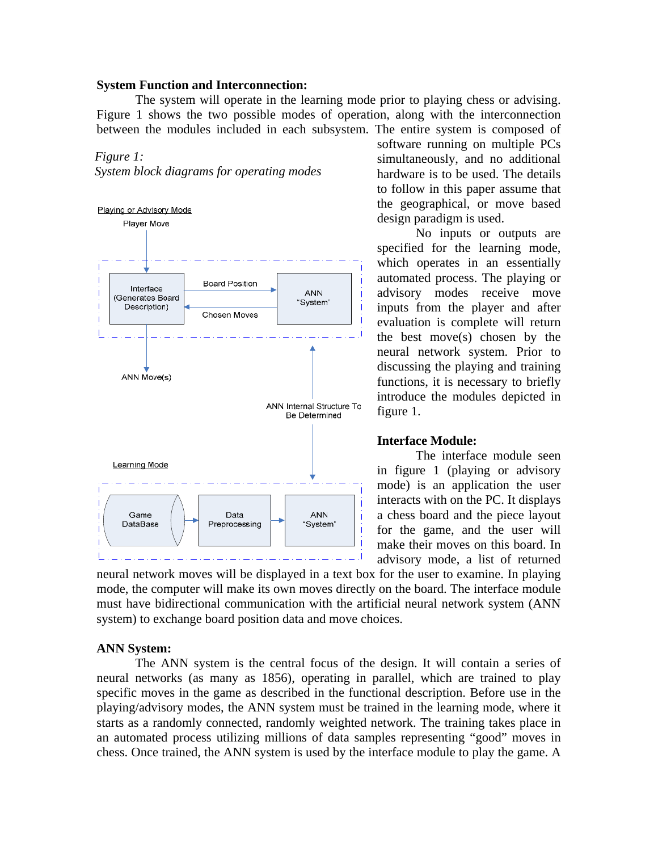# **System Function and Interconnection:**

 The system will operate in the learning mode prior to playing chess or advising. Figure 1 shows the two possible modes of operation, along with the interconnection between the modules included in each subsystem. The entire system is composed of

# *Figure 1:*

*System block diagrams for operating modes* 



software running on multiple PCs simultaneously, and no additional hardware is to be used. The details to follow in this paper assume that the geographical, or move based design paradigm is used.

No inputs or outputs are specified for the learning mode, which operates in an essentially automated process. The playing or advisory modes receive move inputs from the player and after evaluation is complete will return the best move(s) chosen by the neural network system. Prior to discussing the playing and training functions, it is necessary to briefly introduce the modules depicted in figure 1.

### **Interface Module:**

 The interface module seen in figure 1 (playing or advisory mode) is an application the user interacts with on the PC. It displays a chess board and the piece layout for the game, and the user will make their moves on this board. In advisory mode, a list of returned

neural network moves will be displayed in a text box for the user to examine. In playing mode, the computer will make its own moves directly on the board. The interface module must have bidirectional communication with the artificial neural network system (ANN system) to exchange board position data and move choices.

#### **ANN System:**

 The ANN system is the central focus of the design. It will contain a series of neural networks (as many as 1856), operating in parallel, which are trained to play specific moves in the game as described in the functional description. Before use in the playing/advisory modes, the ANN system must be trained in the learning mode, where it starts as a randomly connected, randomly weighted network. The training takes place in an automated process utilizing millions of data samples representing "good" moves in chess. Once trained, the ANN system is used by the interface module to play the game. A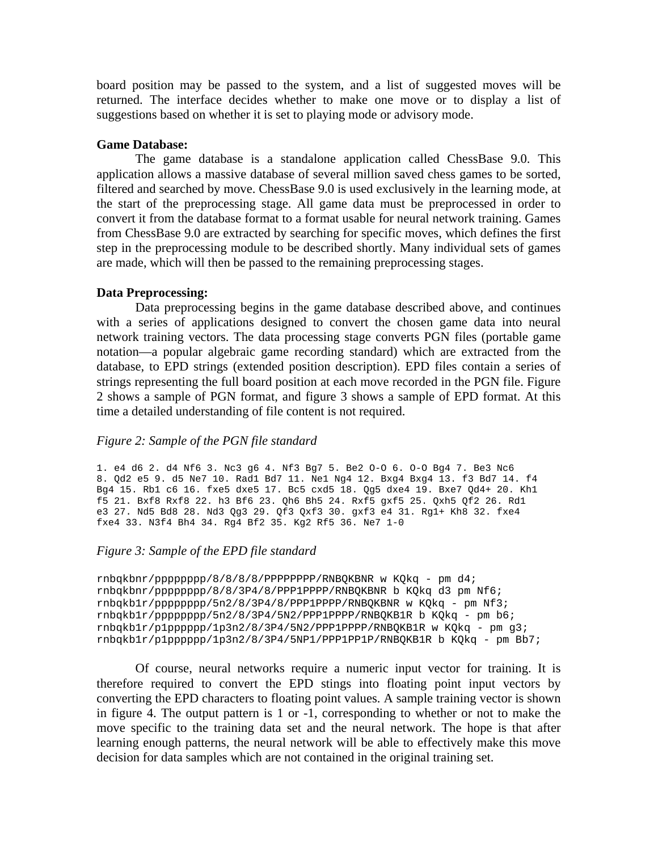board position may be passed to the system, and a list of suggested moves will be returned. The interface decides whether to make one move or to display a list of suggestions based on whether it is set to playing mode or advisory mode.

# **Game Database:**

 The game database is a standalone application called ChessBase 9.0. This application allows a massive database of several million saved chess games to be sorted, filtered and searched by move. ChessBase 9.0 is used exclusively in the learning mode, at the start of the preprocessing stage. All game data must be preprocessed in order to convert it from the database format to a format usable for neural network training. Games from ChessBase 9.0 are extracted by searching for specific moves, which defines the first step in the preprocessing module to be described shortly. Many individual sets of games are made, which will then be passed to the remaining preprocessing stages.

# **Data Preprocessing:**

 Data preprocessing begins in the game database described above, and continues with a series of applications designed to convert the chosen game data into neural network training vectors. The data processing stage converts PGN files (portable game notation—a popular algebraic game recording standard) which are extracted from the database, to EPD strings (extended position description). EPD files contain a series of strings representing the full board position at each move recorded in the PGN file. Figure 2 shows a sample of PGN format, and figure 3 shows a sample of EPD format. At this time a detailed understanding of file content is not required.

# *Figure 2: Sample of the PGN file standard*

1. e4 d6 2. d4 Nf6 3. Nc3 g6 4. Nf3 Bg7 5. Be2 O-O 6. O-O Bg4 7. Be3 Nc6 8. Qd2 e5 9. d5 Ne7 10. Rad1 Bd7 11. Ne1 Ng4 12. Bxg4 Bxg4 13. f3 Bd7 14. f4 Bg4 15. Rb1 c6 16. fxe5 dxe5 17. Bc5 cxd5 18. Qg5 dxe4 19. Bxe7 Qd4+ 20. Kh1 f5 21. Bxf8 Rxf8 22. h3 Bf6 23. Qh6 Bh5 24. Rxf5 gxf5 25. Qxh5 Qf2 26. Rd1 e3 27. Nd5 Bd8 28. Nd3 Qg3 29. Qf3 Qxf3 30. gxf3 e4 31. Rg1+ Kh8 32. fxe4 fxe4 33. N3f4 Bh4 34. Rg4 Bf2 35. Kg2 Rf5 36. Ne7 1-0

# *Figure 3: Sample of the EPD file standard*

```
rnbqkbnr/pppppppp/8/8/8/8/PPPPPPPP/RNBQKBNR w KQkq - pm d4; 
rnbqkbnr/pppppppp/8/8/3P4/8/PPP1PPPP/RNBQKBNR b KQkq d3 pm Nf6; 
rnbqkb1r/pppppppp/5n2/8/3P4/8/PPP1PPPP/RNBQKBNR w KQkq - pm Nf3; 
rnbqkb1r/pppppppp/5n2/8/3P4/5N2/PPP1PPPP/RNBQKB1R b KQkq - pm b6; 
rnbqkb1r/p1pppppp/1p3n2/8/3P4/5N2/PPP1PPPP/RNBQKB1R w KQkq - pm g3; 
rnbqkb1r/p1pppppp/1p3n2/8/3P4/5NP1/PPP1PP1P/RNBQKB1R b KQkq - pm Bb7;
```
Of course, neural networks require a numeric input vector for training. It is therefore required to convert the EPD stings into floating point input vectors by converting the EPD characters to floating point values. A sample training vector is shown in figure 4. The output pattern is 1 or -1, corresponding to whether or not to make the move specific to the training data set and the neural network. The hope is that after learning enough patterns, the neural network will be able to effectively make this move decision for data samples which are not contained in the original training set.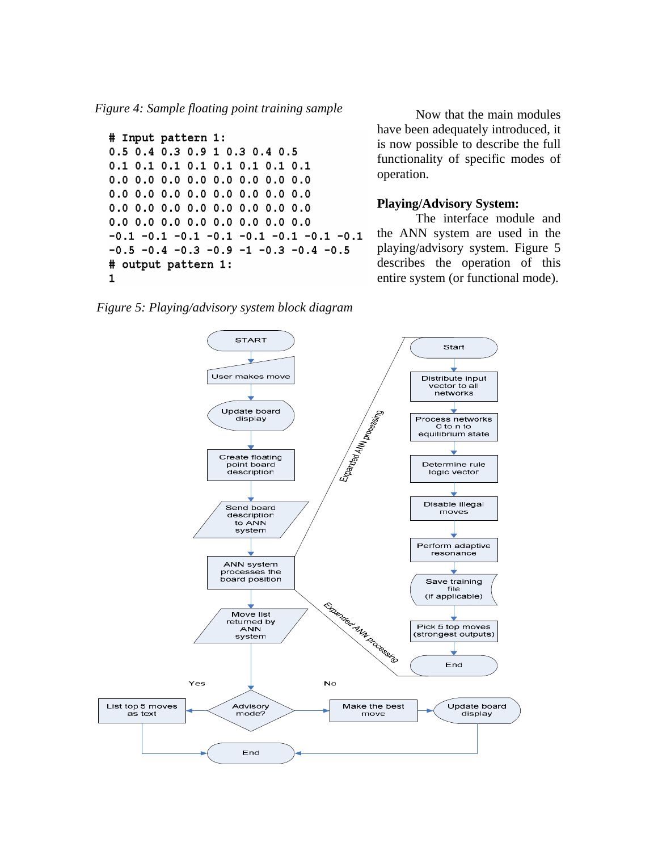*Figure 4: Sample floating point training sample* Now that the main modules

```
# Input pattern 1:
0.5 0.4 0.3 0.9 1 0.3 0.4 0.5
0.1 0.1 0.1 0.1 0.1 0.1 0.1 0.1
0.0 0.0 0.0 0.0 0.0 0.0 0.0 0.00.0 0.0 0.0 0.0 0.0 0.0 0.0 0.00.0 0.0 0.0 0.0 0.0 0.0 0.0 0.00.0 0.0 0.0 0.0 0.0 0.0 0.0 0.0-0.1 -0.1 -0.1 -0.1 -0.1 -0.1 -0.1 -0.1-0.5 -0.4 -0.3 -0.9 -1 -0.3 -0.4 -0.5
# output pattern 1:
\mathbf{1}
```
have been adequately introduced, it is now possible to describe the full functionality of specific modes of operation.

#### **Playing/Advisory System:**

The interface module and the ANN system are used in the playing/advisory system. Figure 5 describes the operation of this entire system (or functional mode).

*Figure 5: Playing/advisory system block diagram* 

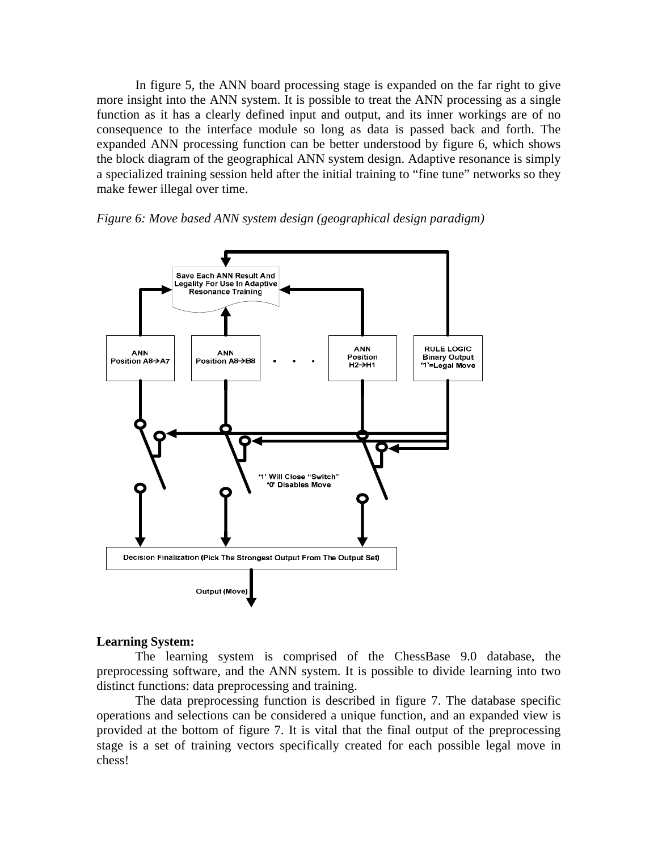In figure 5, the ANN board processing stage is expanded on the far right to give more insight into the ANN system. It is possible to treat the ANN processing as a single function as it has a clearly defined input and output, and its inner workings are of no consequence to the interface module so long as data is passed back and forth. The expanded ANN processing function can be better understood by figure 6, which shows the block diagram of the geographical ANN system design. Adaptive resonance is simply a specialized training session held after the initial training to "fine tune" networks so they make fewer illegal over time.





# **Learning System:**

 The learning system is comprised of the ChessBase 9.0 database, the preprocessing software, and the ANN system. It is possible to divide learning into two distinct functions: data preprocessing and training.

 The data preprocessing function is described in figure 7. The database specific operations and selections can be considered a unique function, and an expanded view is provided at the bottom of figure 7. It is vital that the final output of the preprocessing stage is a set of training vectors specifically created for each possible legal move in chess!